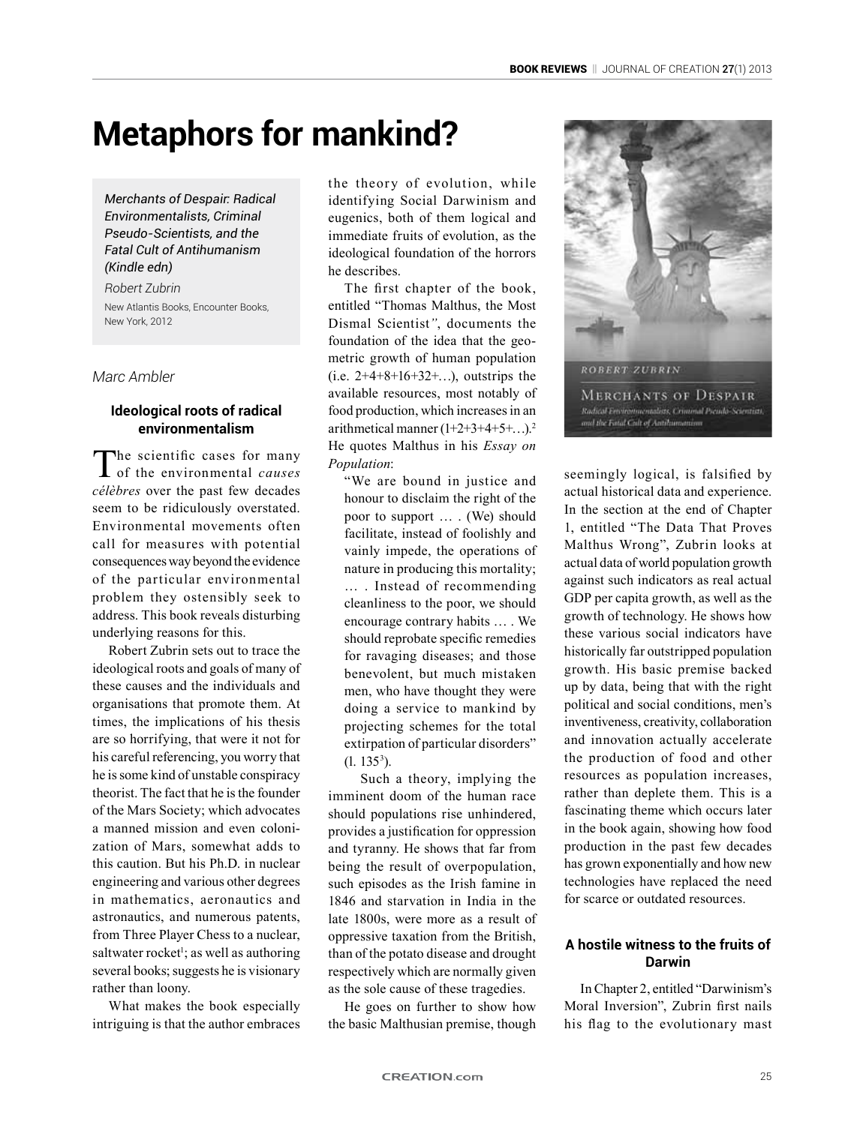# **Metaphors for mankind?**

*Merchants of Despair: Radical Environmentalists, Criminal Pseudo-Scientists, and the Fatal Cult of Antihumanism (Kindle edn)*

*Robert Zubrin* New Atlantis Books, Encounter Books, New York, 2012

#### *Marc Ambler*

# **Ideological roots of radical environmentalism**

The scientific cases for many of the environmental *causes célèbres* over the past few decades seem to be ridiculously overstated. Environmental movements often call for measures with potential consequences way beyond the evidence of the particular environmental problem they ostensibly seek to address. This book reveals disturbing underlying reasons for this.

Robert Zubrin sets out to trace the ideological roots and goals of many of these causes and the individuals and organisations that promote them. At times, the implications of his thesis are so horrifying, that were it not for his careful referencing, you worry that he is some kind of unstable conspiracy theorist. The fact that he is the founder of the Mars Society; which advocates a manned mission and even colonization of Mars, somewhat adds to this caution. But his Ph.D. in nuclear engineering and various other degrees in mathematics, aeronautics and astronautics, and numerous patents, from Three Player Chess to a nuclear, saltwater rocket<sup>1</sup>; as well as authoring several books; suggests he is visionary rather than loony.

What makes the book especially intriguing is that the author embraces

the theory of evolution, while identifying Social Darwinism and eugenics, both of them logical and immediate fruits of evolution, as the ideological foundation of the horrors he describes.

The first chapter of the book, entitled "Thomas Malthus, the Most Dismal Scientist*"*, documents the foundation of the idea that the geometric growth of human population (i.e.  $2+4+8+16+32+...$ ), outstrips the available resources, most notably of food production, which increases in an arithmetical manner  $(1+2+3+4+5+\ldots)^2$ He quotes Malthus in his *Essay on Population*:

"We are bound in justice and honour to disclaim the right of the poor to support … . (We) should facilitate, instead of foolishly and vainly impede, the operations of nature in producing this mortality; … . Instead of recommending cleanliness to the poor, we should encourage contrary habits … . We should reprobate specific remedies for ravaging diseases; and those benevolent, but much mistaken men, who have thought they were doing a service to mankind by projecting schemes for the total extirpation of particular disorders"  $(1. 135<sup>3</sup>)$ .

Such a theory, implying the imminent doom of the human race should populations rise unhindered, provides a justification for oppression and tyranny. He shows that far from being the result of overpopulation, such episodes as the Irish famine in 1846 and starvation in India in the late 1800s, were more as a result of oppressive taxation from the British, than of the potato disease and drought respectively which are normally given as the sole cause of these tragedies.

He goes on further to show how the basic Malthusian premise, though



seemingly logical, is falsified by actual historical data and experience. In the section at the end of Chapter 1, entitled "The Data That Proves Malthus Wrong", Zubrin looks at actual data of world population growth against such indicators as real actual GDP per capita growth, as well as the growth of technology. He shows how these various social indicators have historically far outstripped population growth. His basic premise backed up by data, being that with the right political and social conditions, men's inventiveness, creativity, collaboration and innovation actually accelerate the production of food and other resources as population increases, rather than deplete them. This is a fascinating theme which occurs later in the book again, showing how food production in the past few decades has grown exponentially and how new technologies have replaced the need for scarce or outdated resources.

## **A hostile witness to the fruits of Darwin**

In Chapter 2, entitled "Darwinism's Moral Inversion", Zubrin first nails his flag to the evolutionary mast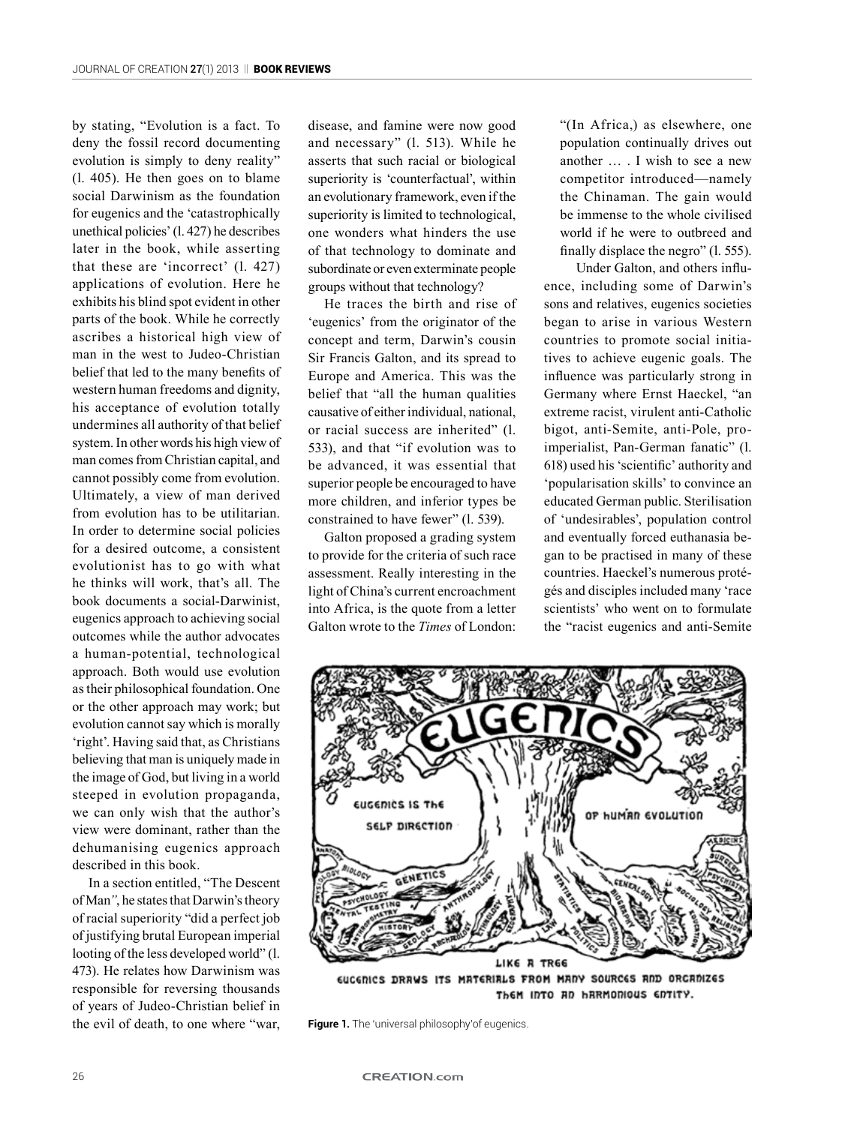by stating, "Evolution is a fact. To deny the fossil record documenting evolution is simply to deny reality" (l. 405). He then goes on to blame social Darwinism as the foundation for eugenics and the 'catastrophically unethical policies' (l. 427) he describes later in the book, while asserting that these are 'incorrect' (l. 427) applications of evolution. Here he exhibits his blind spot evident in other parts of the book. While he correctly ascribes a historical high view of man in the west to Judeo-Christian belief that led to the many benefits of western human freedoms and dignity, his acceptance of evolution totally undermines all authority of that belief system. In other words his high view of man comes from Christian capital, and cannot possibly come from evolution. Ultimately, a view of man derived from evolution has to be utilitarian. In order to determine social policies for a desired outcome, a consistent evolutionist has to go with what he thinks will work, that's all. The book documents a social-Darwinist, eugenics approach to achieving social outcomes while the author advocates a human-potential, technological approach. Both would use evolution as their philosophical foundation. One or the other approach may work; but evolution cannot say which is morally 'right'. Having said that, as Christians believing that man is uniquely made in the image of God, but living in a world steeped in evolution propaganda, we can only wish that the author's view were dominant, rather than the dehumanising eugenics approach described in this book.

In a section entitled, "The Descent of Man*"*, he states that Darwin's theory of racial superiority "did a perfect job of justifying brutal European imperial looting of the less developed world" (l. 473). He relates how Darwinism was responsible for reversing thousands of years of Judeo-Christian belief in the evil of death, to one where "war,

disease, and famine were now good and necessary" (l. 513). While he asserts that such racial or biological superiority is 'counterfactual', within an evolutionary framework, even if the superiority is limited to technological, one wonders what hinders the use of that technology to dominate and subordinate or even exterminate people groups without that technology?

He traces the birth and rise of 'eugenics' from the originator of the concept and term, Darwin's cousin Sir Francis Galton, and its spread to Europe and America. This was the belief that "all the human qualities causative of either individual, national, or racial success are inherited" (l. 533), and that "if evolution was to be advanced, it was essential that superior people be encouraged to have more children, and inferior types be constrained to have fewer" (l. 539).

Galton proposed a grading system to provide for the criteria of such race assessment. Really interesting in the light of China's current encroachment into Africa, is the quote from a letter Galton wrote to the *Times* of London:

"(In Africa,) as elsewhere, one population continually drives out another … . I wish to see a new competitor introduced—namely the Chinaman. The gain would be immense to the whole civilised world if he were to outbreed and finally displace the negro" (1, 555).

Under Galton, and others influence, including some of Darwin's sons and relatives, eugenics societies began to arise in various Western countries to promote social initiatives to achieve eugenic goals. The influence was particularly strong in Germany where Ernst Haeckel, "an extreme racist, virulent anti-Catholic bigot, anti-Semite, anti-Pole, proimperialist, Pan-German fanatic" (l. 618) used his 'scientific' authority and 'popularisation skills' to convince an educated German public. Sterilisation of 'undesirables', population control and eventually forced euthanasia began to be practised in many of these countries. Haeckel's numerous protégés and disciples included many 'race scientists' who went on to formulate the "racist eugenics and anti-Semite



Them INTO AD HARMONIOUS ENTITY.

**Figure 1.** The 'universal philosophy' of eugenics.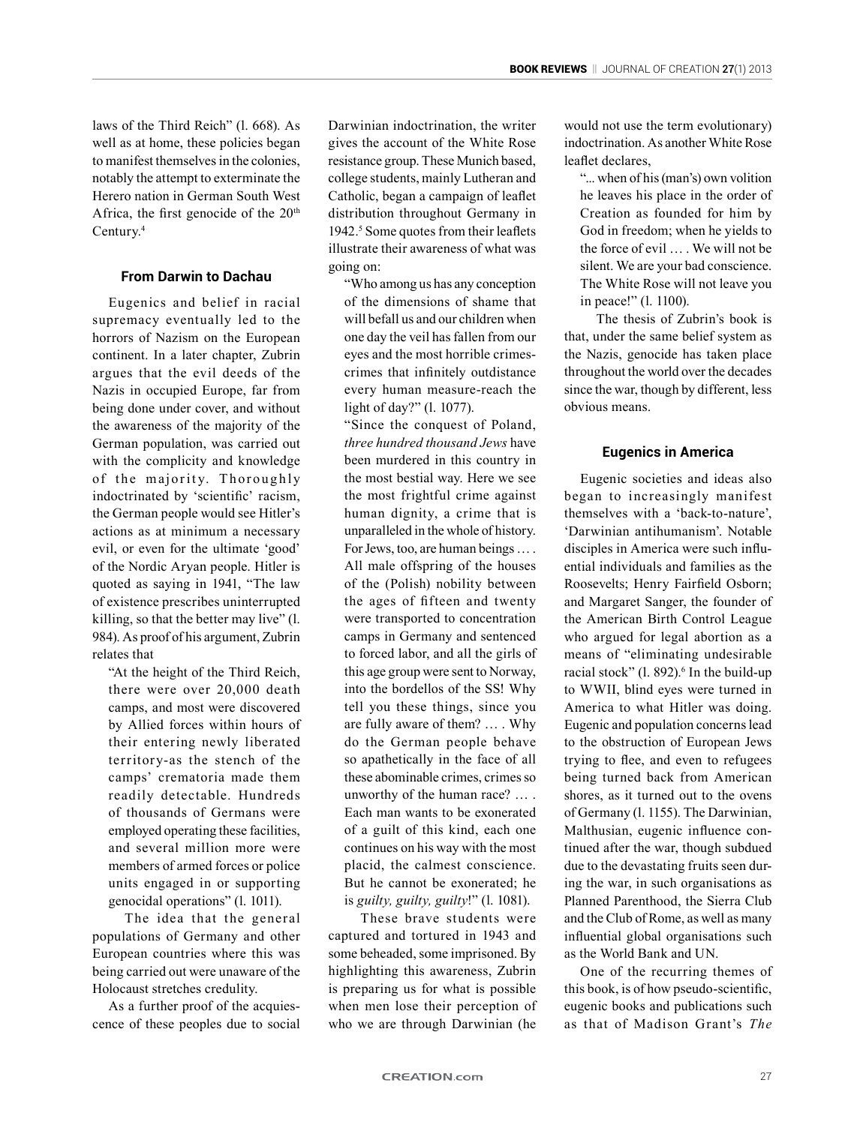laws of the Third Reich" (l. 668). As well as at home, these policies began to manifest themselves in the colonies, notably the attempt to exterminate the Herero nation in German South West Africa, the first genocide of the 20<sup>th</sup> Century.4

### **From Darwin to Dachau**

Eugenics and belief in racial supremacy eventually led to the horrors of Nazism on the European continent. In a later chapter, Zubrin argues that the evil deeds of the Nazis in occupied Europe, far from being done under cover, and without the awareness of the majority of the German population, was carried out with the complicity and knowledge of the majority. Thoroughly indoctrinated by 'scientific' racism, the German people would see Hitler's actions as at minimum a necessary evil, or even for the ultimate 'good' of the Nordic Aryan people. Hitler is quoted as saying in 1941, "The law of existence prescribes uninterrupted killing, so that the better may live" (l. 984). As proof of his argument, Zubrin relates that

"At the height of the Third Reich, there were over 20,000 death camps, and most were discovered by Allied forces within hours of their entering newly liberated territory-as the stench of the camps' crematoria made them readily detectable. Hundreds of thousands of Germans were employed operating these facilities, and several million more were members of armed forces or police units engaged in or supporting genocidal operations" (l. 1011).

The idea that the general populations of Germany and other European countries where this was being carried out were unaware of the Holocaust stretches credulity.

As a further proof of the acquiescence of these peoples due to social Darwinian indoctrination, the writer gives the account of the White Rose resistance group. These Munich based, college students, mainly Lutheran and Catholic, began a campaign of leaflet distribution throughout Germany in 1942.<sup>5</sup> Some quotes from their leaflets illustrate their awareness of what was going on:

"Who among us has any conception of the dimensions of shame that will befall us and our children when one day the veil has fallen from our eyes and the most horrible crimescrimes that infinitely outdistance every human measure-reach the light of day?" (l. 1077).

"Since the conquest of Poland, *three hundred thousand Jews* have been murdered in this country in the most bestial way. Here we see the most frightful crime against human dignity, a crime that is unparalleled in the whole of history. For Jews, too, are human beings … . All male offspring of the houses of the (Polish) nobility between the ages of fifteen and twenty were transported to concentration camps in Germany and sentenced to forced labor, and all the girls of this age group were sent to Norway, into the bordellos of the SS! Why tell you these things, since you are fully aware of them? … . Why do the German people behave so apathetically in the face of all these abominable crimes, crimes so unworthy of the human race? … . Each man wants to be exonerated of a guilt of this kind, each one continues on his way with the most placid, the calmest conscience. But he cannot be exonerated; he is *guilty, guilty, guilty*!" (l. 1081).

These brave students were captured and tortured in 1943 and some beheaded, some imprisoned. By highlighting this awareness, Zubrin is preparing us for what is possible when men lose their perception of who we are through Darwinian (he would not use the term evolutionary) indoctrination. As another White Rose leaflet declares,

"... when of his (man's) own volition he leaves his place in the order of Creation as founded for him by God in freedom; when he yields to the force of evil … . We will not be silent. We are your bad conscience. The White Rose will not leave you in peace!" (l. 1100).

The thesis of Zubrin's book is that, under the same belief system as the Nazis, genocide has taken place throughout the world over the decades since the war, though by different, less obvious means.

# **Eugenics in America**

Eugenic societies and ideas also began to increasingly manifest themselves with a 'back-to-nature', 'Darwinian antihumanism'. Notable disciples in America were such influential individuals and families as the Roosevelts; Henry Fairfield Osborn; and Margaret Sanger, the founder of the American Birth Control League who argued for legal abortion as a means of "eliminating undesirable racial stock"  $(1.892)^6$  In the build-up to WWII, blind eyes were turned in America to what Hitler was doing. Eugenic and population concerns lead to the obstruction of European Jews trying to flee, and even to refugees being turned back from American shores, as it turned out to the ovens of Germany (l. 1155). The Darwinian, Malthusian, eugenic influence continued after the war, though subdued due to the devastating fruits seen during the war, in such organisations as Planned Parenthood, the Sierra Club and the Club of Rome, as well as many influential global organisations such as the World Bank and UN.

One of the recurring themes of this book, is of how pseudo-scientific, eugenic books and publications such as that of Madison Grant's *The*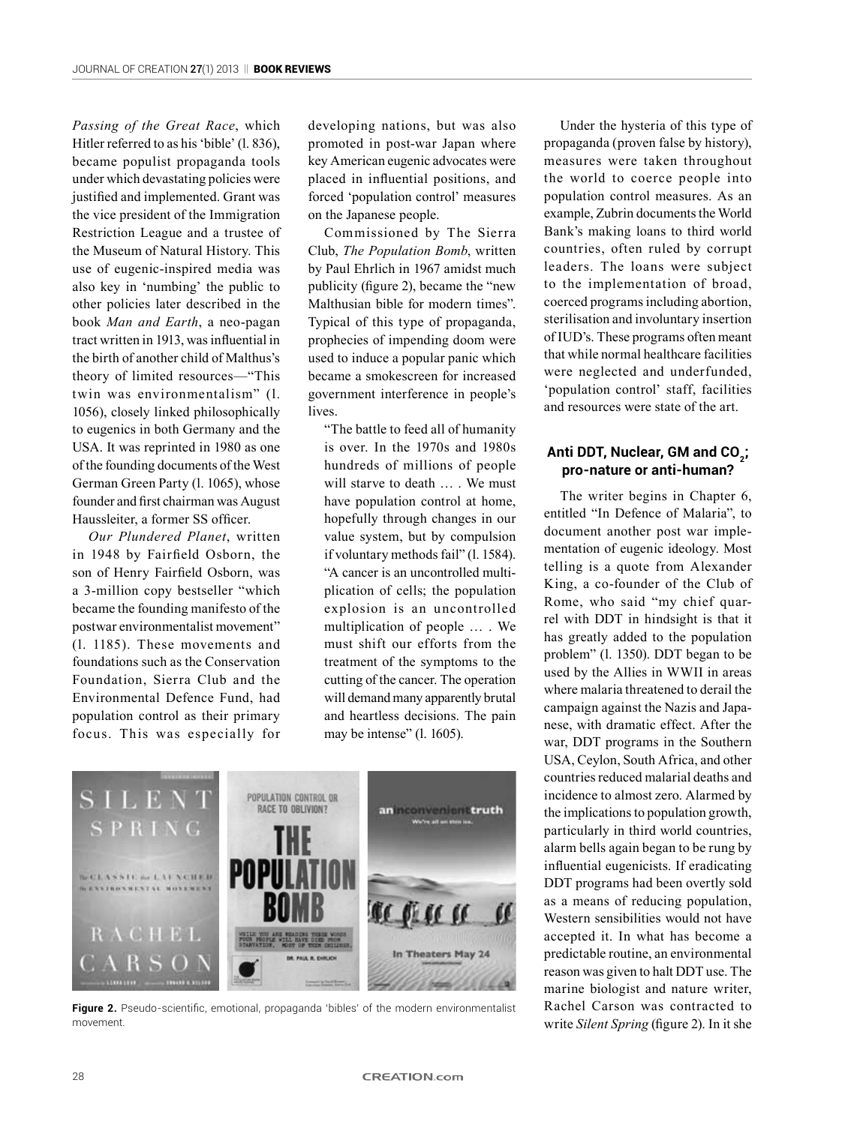*Passing of the Great Race*, which Hitler referred to as his 'bible' (l. 836), became populist propaganda tools under which devastating policies were justified and implemented. Grant was the vice president of the Immigration Restriction League and a trustee of the Museum of Natural History. This use of eugenic-inspired media was also key in 'numbing' the public to other policies later described in the book *Man and Earth*, a neo-pagan tract written in 1913, was influential in the birth of another child of Malthus's theory of limited resources—"This twin was environmentalism" (l. 1056), closely linked philosophically to eugenics in both Germany and the USA. It was reprinted in 1980 as one of the founding documents of the West German Green Party (l. 1065), whose founder and first chairman was August Haussleiter, a former SS officer.

*Our Plundered Planet*, written in 1948 by Fairfield Osborn, the son of Henry Fairfield Osborn, was a 3-million copy bestseller "which became the founding manifesto of the postwar environmentalist movement" (l. 1185). These movements and foundations such as the Conservation Foundation, Sierra Club and the Environmental Defence Fund, had population control as their primary focus. This was especially for

developing nations, but was also promoted in post-war Japan where key American eugenic advocates were placed in influential positions, and forced 'population control' measures on the Japanese people.

Commissioned by The Sierra Club, *The Population Bomb*, written by Paul Ehrlich in 1967 amidst much publicity (figure 2), became the "new Malthusian bible for modern times". Typical of this type of propaganda, prophecies of impending doom were used to induce a popular panic which became a smokescreen for increased government interference in people's lives.

"The battle to feed all of humanity is over. In the 1970s and 1980s hundreds of millions of people will starve to death … . We must have population control at home, hopefully through changes in our value system, but by compulsion if voluntary methods fail" (l. 1584). "A cancer is an uncontrolled multiplication of cells; the population explosion is an uncontrolled multiplication of people … . We must shift our efforts from the treatment of the symptoms to the cutting of the cancer. The operation will demand many apparently brutal and heartless decisions. The pain may be intense" (l. 1605).



**Figure 2.** Pseudo-scientific, emotional, propaganda 'bibles' of the modern environmentalist movement.

Under the hysteria of this type of propaganda (proven false by history), measures were taken throughout the world to coerce people into population control measures. As an example, Zubrin documents the World Bank's making loans to third world countries, often ruled by corrupt leaders. The loans were subject to the implementation of broad, coerced programs including abortion, sterilisation and involuntary insertion of IUD's. These programs often meant that while normal healthcare facilities were neglected and underfunded, 'population control' staff, facilities and resources were state of the art.

# Anti DDT, Nuclear, GM and CO<sub>2</sub>; **pro-nature or anti-human?**

The writer begins in Chapter 6, entitled "In Defence of Malaria", to document another post war implementation of eugenic ideology. Most telling is a quote from Alexander King, a co-founder of the Club of Rome, who said "my chief quarrel with DDT in hindsight is that it has greatly added to the population problem" (l. 1350). DDT began to be used by the Allies in WWII in areas where malaria threatened to derail the campaign against the Nazis and Japanese, with dramatic effect. After the war, DDT programs in the Southern USA, Ceylon, South Africa, and other countries reduced malarial deaths and incidence to almost zero. Alarmed by the implications to population growth, particularly in third world countries, alarm bells again began to be rung by influential eugenicists. If eradicating DDT programs had been overtly sold as a means of reducing population, Western sensibilities would not have accepted it. In what has become a predictable routine, an environmental reason was given to halt DDT use. The marine biologist and nature writer, Rachel Carson was contracted to write *Silent Spring* (figure 2). In it she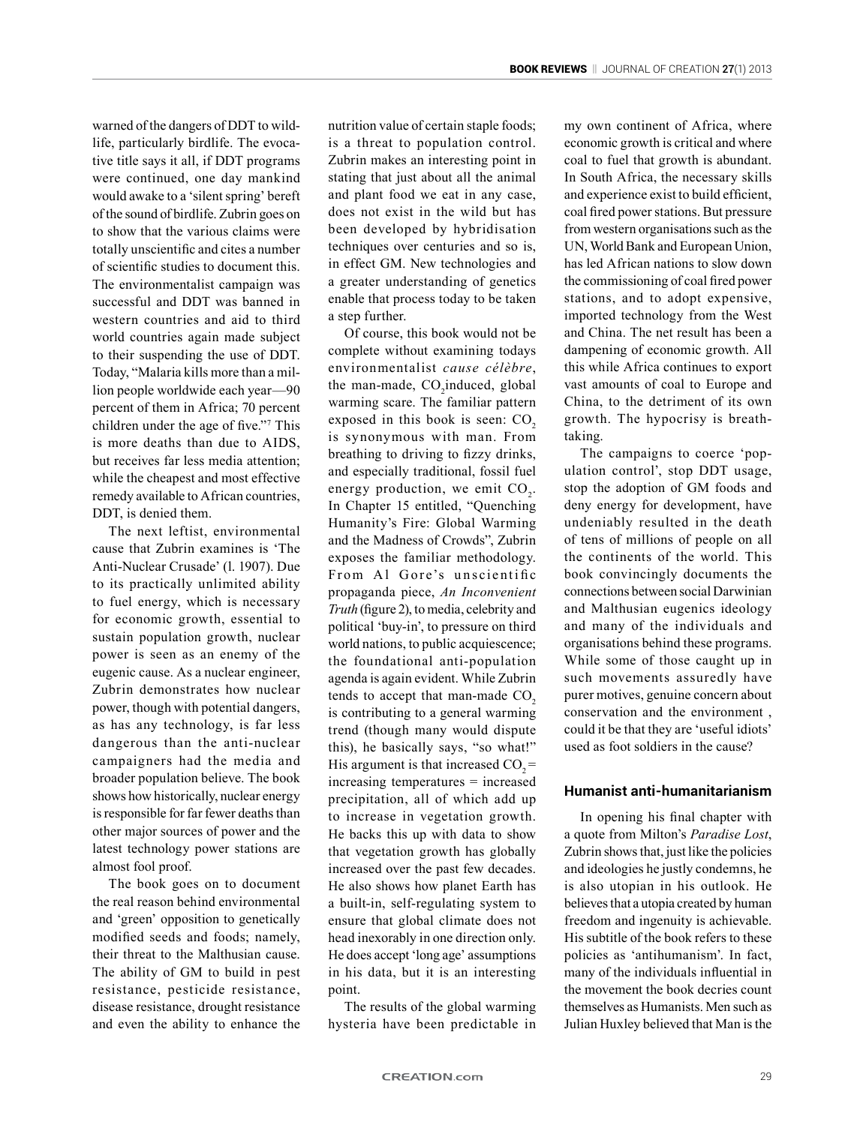warned of the dangers of DDT to wildlife, particularly birdlife. The evocative title says it all, if DDT programs were continued, one day mankind would awake to a 'silent spring' bereft of the sound of birdlife. Zubrin goes on to show that the various claims were totally unscientific and cites a number of scientific studies to document this. The environmentalist campaign was successful and DDT was banned in western countries and aid to third world countries again made subject to their suspending the use of DDT. Today, "Malaria kills more than a million people worldwide each year—90 percent of them in Africa; 70 percent children under the age of five."7 This is more deaths than due to AIDS, but receives far less media attention; while the cheapest and most effective remedy available to African countries, DDT, is denied them.

The next leftist, environmental cause that Zubrin examines is 'The Anti-Nuclear Crusade' (l. 1907). Due to its practically unlimited ability to fuel energy, which is necessary for economic growth, essential to sustain population growth, nuclear power is seen as an enemy of the eugenic cause. As a nuclear engineer, Zubrin demonstrates how nuclear power, though with potential dangers, as has any technology, is far less dangerous than the anti-nuclear campaigners had the media and broader population believe. The book shows how historically, nuclear energy is responsible for far fewer deaths than other major sources of power and the latest technology power stations are almost fool proof.

The book goes on to document the real reason behind environmental and 'green' opposition to genetically modified seeds and foods; namely, their threat to the Malthusian cause. The ability of GM to build in pest resistance, pesticide resistance, disease resistance, drought resistance and even the ability to enhance the nutrition value of certain staple foods; is a threat to population control. Zubrin makes an interesting point in stating that just about all the animal and plant food we eat in any case, does not exist in the wild but has been developed by hybridisation techniques over centuries and so is, in effect GM. New technologies and a greater understanding of genetics enable that process today to be taken a step further.

Of course, this book would not be complete without examining todays environmentalist *cause célèbre*, the man-made,  $CO_2$ induced, global warming scare. The familiar pattern exposed in this book is seen:  $CO<sub>2</sub>$ is synonymous with man. From breathing to driving to fizzy drinks, and especially traditional, fossil fuel energy production, we emit  $CO<sub>2</sub>$ . In Chapter 15 entitled, "Quenching Humanity's Fire: Global Warming and the Madness of Crowds", Zubrin exposes the familiar methodology. From Al Gore's unscientific propaganda piece, *An Inconvenient Truth* (figure 2), to media, celebrity and political 'buy-in', to pressure on third world nations, to public acquiescence; the foundational anti-population agenda is again evident. While Zubrin tends to accept that man-made  $CO<sub>2</sub>$ is contributing to a general warming trend (though many would dispute this), he basically says, "so what!" His argument is that increased  $CO<sub>2</sub>$  = increasing temperatures = increased precipitation, all of which add up to increase in vegetation growth. He backs this up with data to show that vegetation growth has globally increased over the past few decades. He also shows how planet Earth has a built-in, self-regulating system to ensure that global climate does not head inexorably in one direction only. He does accept 'long age' assumptions in his data, but it is an interesting point.

The results of the global warming hysteria have been predictable in my own continent of Africa, where economic growth is critical and where coal to fuel that growth is abundant. In South Africa, the necessary skills and experience exist to build efficient, coal fired power stations. But pressure from western organisations such as the UN, World Bank and European Union, has led African nations to slow down the commissioning of coal fired power stations, and to adopt expensive, imported technology from the West and China. The net result has been a dampening of economic growth. All this while Africa continues to export vast amounts of coal to Europe and China, to the detriment of its own growth. The hypocrisy is breathtaking.

The campaigns to coerce 'population control', stop DDT usage, stop the adoption of GM foods and deny energy for development, have undeniably resulted in the death of tens of millions of people on all the continents of the world. This book convincingly documents the connections between social Darwinian and Malthusian eugenics ideology and many of the individuals and organisations behind these programs. While some of those caught up in such movements assuredly have purer motives, genuine concern about conservation and the environment , could it be that they are 'useful idiots' used as foot soldiers in the cause?

#### **Humanist anti-humanitarianism**

In opening his final chapter with a quote from Milton's *Paradise Lost*, Zubrin shows that, just like the policies and ideologies he justly condemns, he is also utopian in his outlook. He believes that a utopia created by human freedom and ingenuity is achievable. His subtitle of the book refers to these policies as 'antihumanism'. In fact, many of the individuals influential in the movement the book decries count themselves as Humanists. Men such as Julian Huxley believed that Man is the